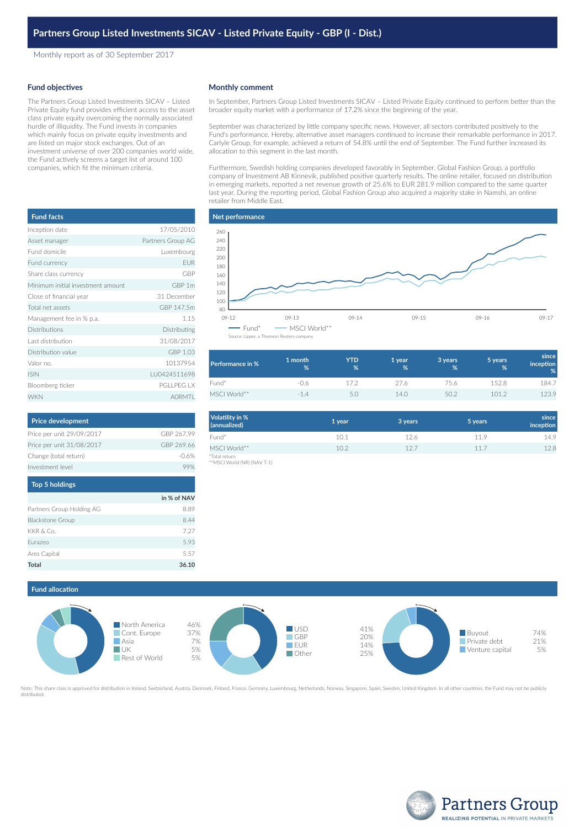Monthly report as of 30 September 2017

## **Fund objectives**

The Partners Group Listed Investments SICAV – Listed Private Equity fund provides efficient access to the asset class private equity overcoming the normally associated hurdle of illiquidity. The Fund invests in companies which mainly focus on private equity investments and are listed on major stock exchanges. Out of an investment universe of over 200 companies world wide, the Fund actively screens a target list of around 100 companies, which fit the minimum criteria.

| <b>Fund facts</b>                 |                   |
|-----------------------------------|-------------------|
| Inception date                    | 17/05/2010        |
| Asset manager                     | Partners Group AG |
| Eund domicile                     | Luxembourg        |
| Fund currency                     | <b>EUR</b>        |
| Share class currency              | GBP               |
| Minimum initial investment amount | GBP <sub>1m</sub> |
| Close of financial year           | 31 December       |
| Total net assets                  | GBP 147.5m        |
| Management fee in % p.a.          | 1.15              |
| Distributions                     | Distributing      |
| Last distribution                 | 31/08/2017        |
| Distribution value                | GBP 1.03          |
| Valor no.                         | 10137954          |
| <b>ISIN</b>                       | LU0424511698      |
| Bloomberg ticker                  | <b>PGILPEGIX</b>  |
| <b>WKN</b>                        | <b>AORMTL</b>     |

| <b>Price development</b>  |            |
|---------------------------|------------|
| Price per unit 29/09/2017 | GRP 267 99 |
| Price per unit 31/08/2017 | GBP 269.66 |
| Change (total return)     | $-0.6%$    |
| Investment level          |            |

| <b>Top 5 holdings</b>     |             |
|---------------------------|-------------|
|                           | in % of NAV |
| Partners Group Holding AG | 8.89        |
| <b>Blackstone Group</b>   | 8.44        |
| KKR & Co.                 | 7.27        |
| Eurazeo                   | 593         |
| Ares Capital              | 5.57        |
| Total                     | 36.10       |

### **Monthly comment**

In September, Partners Group Listed Investments SICAV – Listed Private Equity continued to perform better than the broader equity market with a performance of 17.2% since the beginning of the year.

September was characterized by little company specific news. However, all sectors contributed positively to the Fund's performance. Hereby, alternative asset managers continued to increase their remarkable performance in 2017. Carlyle Group, for example, achieved a return of 54.8% until the end of September. The Fund further increased its allocation to this segment in the last month.

Furthermore, Swedish holding companies developed favorably in September. Global Fashion Group, a portfolio company of Investment AB Kinnevik, published positive quarterly results. The online retailer, focused on distribution in emerging markets, reported a net revenue growth of 25.6% to EUR 281.9 million compared to the same quarter last year. During the reporting period, Global Fashion Group also acquired a majority stake in Namshi, an online retailer from Middle East.



| Performance in % | 1 month<br>% | <b>YTD</b><br>% | 1 year<br>% | 3 years<br>% | 5 years<br>% | since<br><i>inception</i><br>% |
|------------------|--------------|-----------------|-------------|--------------|--------------|--------------------------------|
| Fund*            | -0.6         | 172             | 27.6        | 75.6         | 152.8        | 184.7                          |
| MSCI World**     | $-1.4$       | 50              | 14.0        | 50.2         | 1012         | 123.9                          |

| Volatility in %<br>(annualized) | 1 year | 3 years | 5 years | since<br>inception |
|---------------------------------|--------|---------|---------|--------------------|
| Fund*                           | 10.1   | 12.6    | 119     | 14.9               |
| MSCI World**                    | 10.2   | 12.7    | 11.7    | 12.8               |
| *Total return                   |        |         |         |                    |

\*Total return \*\*MSCI World (NR) (NAV T-1)





Note: This share class is approved for distribution in Ireland, Switzerland, Austria, Denmark, Finland, France, Germany, Luxembourg, Netherlands, Norway, Singapore, Spain, Sweden, United Kingdom. In all other countries, th distributed.